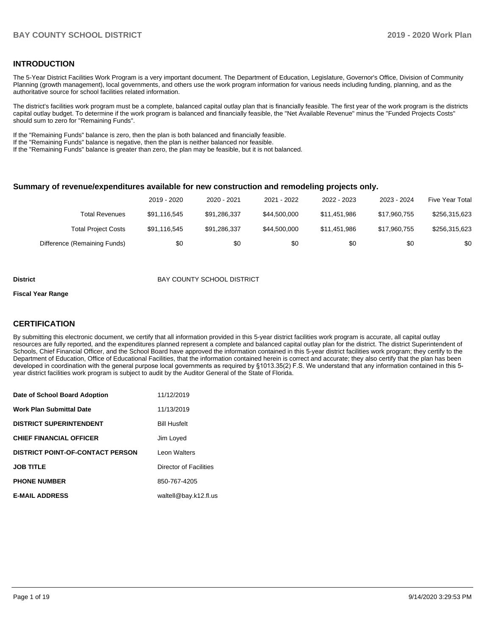#### **INTRODUCTION**

The 5-Year District Facilities Work Program is a very important document. The Department of Education, Legislature, Governor's Office, Division of Community Planning (growth management), local governments, and others use the work program information for various needs including funding, planning, and as the authoritative source for school facilities related information.

The district's facilities work program must be a complete, balanced capital outlay plan that is financially feasible. The first year of the work program is the districts capital outlay budget. To determine if the work program is balanced and financially feasible, the "Net Available Revenue" minus the "Funded Projects Costs" should sum to zero for "Remaining Funds".

If the "Remaining Funds" balance is zero, then the plan is both balanced and financially feasible.

If the "Remaining Funds" balance is negative, then the plan is neither balanced nor feasible.

If the "Remaining Funds" balance is greater than zero, the plan may be feasible, but it is not balanced.

#### **Summary of revenue/expenditures available for new construction and remodeling projects only.**

| 2021 - 2022<br>2022 - 2023<br>2023 - 2024<br><b>Five Year Total</b> | 2020 - 2021  | 2019 - 2020  |                              |
|---------------------------------------------------------------------|--------------|--------------|------------------------------|
| \$44,500,000<br>\$11.451.986<br>\$17.960.755                        | \$91,286,337 | \$91,116,545 | <b>Total Revenues</b>        |
| \$44,500,000<br>\$11.451.986<br>\$17.960.755                        | \$91,286,337 | \$91,116,545 | <b>Total Project Costs</b>   |
| \$0<br>\$0<br>\$0                                                   | \$0          | \$0          | Difference (Remaining Funds) |

#### **District District BAY COUNTY SCHOOL DISTRICT**

#### **Fiscal Year Range**

### **CERTIFICATION**

By submitting this electronic document, we certify that all information provided in this 5-year district facilities work program is accurate, all capital outlay resources are fully reported, and the expenditures planned represent a complete and balanced capital outlay plan for the district. The district Superintendent of Schools, Chief Financial Officer, and the School Board have approved the information contained in this 5-year district facilities work program; they certify to the Department of Education, Office of Educational Facilities, that the information contained herein is correct and accurate; they also certify that the plan has been developed in coordination with the general purpose local governments as required by §1013.35(2) F.S. We understand that any information contained in this 5 year district facilities work program is subject to audit by the Auditor General of the State of Florida.

| Date of School Board Adoption           | 11/12/2019             |
|-----------------------------------------|------------------------|
| <b>Work Plan Submittal Date</b>         | 11/13/2019             |
| <b>DISTRICT SUPERINTENDENT</b>          | <b>Bill Husfelt</b>    |
| <b>CHIEF FINANCIAL OFFICER</b>          | Jim Loyed              |
| <b>DISTRICT POINT-OF-CONTACT PERSON</b> | Leon Walters           |
| <b>JOB TITLE</b>                        | Director of Facilities |
| <b>PHONE NUMBER</b>                     | 850-767-4205           |
| <b>E-MAIL ADDRESS</b>                   | waltell@bay.k12.fl.us  |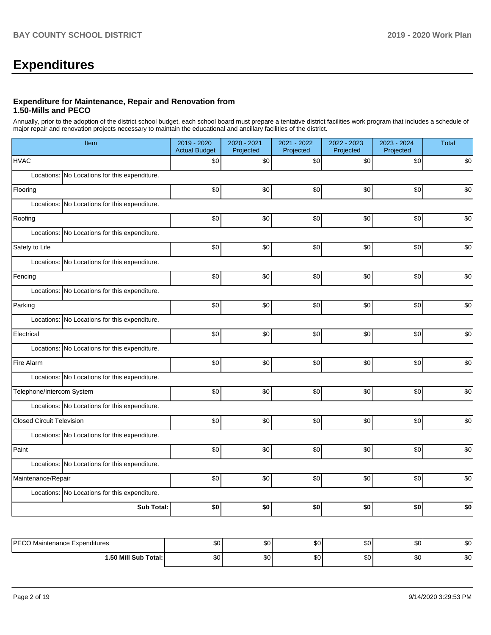# **Expenditures**

#### **Expenditure for Maintenance, Repair and Renovation from 1.50-Mills and PECO**

Annually, prior to the adoption of the district school budget, each school board must prepare a tentative district facilities work program that includes a schedule of major repair and renovation projects necessary to maintain the educational and ancillary facilities of the district.

| Item                                          | 2019 - 2020<br><b>Actual Budget</b> | 2020 - 2021<br>Projected | 2021 - 2022<br>Projected | 2022 - 2023<br>Projected | 2023 - 2024<br>Projected | <b>Total</b> |  |  |  |
|-----------------------------------------------|-------------------------------------|--------------------------|--------------------------|--------------------------|--------------------------|--------------|--|--|--|
| <b>HVAC</b>                                   | \$0                                 | \$0                      | \$0                      | \$0                      | \$0                      | \$0          |  |  |  |
| Locations: No Locations for this expenditure. |                                     |                          |                          |                          |                          |              |  |  |  |
| Flooring                                      | \$0                                 | \$0                      | \$0                      | \$0                      | \$0                      | \$0          |  |  |  |
| Locations: No Locations for this expenditure. |                                     |                          |                          |                          |                          |              |  |  |  |
| Roofing                                       | \$0                                 | \$0                      | \$0                      | \$0                      | \$0                      | \$0          |  |  |  |
| Locations: No Locations for this expenditure. |                                     |                          |                          |                          |                          |              |  |  |  |
| Safety to Life                                | \$0                                 | \$0                      | \$0                      | \$0                      | \$0                      | \$0          |  |  |  |
| Locations: No Locations for this expenditure. |                                     |                          |                          |                          |                          |              |  |  |  |
| Fencing                                       | \$0                                 | \$0                      | \$0                      | \$0                      | \$0                      | \$0          |  |  |  |
| Locations: No Locations for this expenditure. |                                     |                          |                          |                          |                          |              |  |  |  |
| Parking                                       | \$0                                 | \$0                      | \$0                      | \$0                      | \$0                      | \$0          |  |  |  |
| Locations: No Locations for this expenditure. |                                     |                          |                          |                          |                          |              |  |  |  |
| Electrical                                    | \$0                                 | \$0                      | \$0                      | \$0                      | \$0                      | \$0          |  |  |  |
| Locations: No Locations for this expenditure. |                                     |                          |                          |                          |                          |              |  |  |  |
| Fire Alarm                                    | \$0                                 | \$0                      | \$0                      | \$0                      | \$0                      | \$0          |  |  |  |
| Locations: No Locations for this expenditure. |                                     |                          |                          |                          |                          |              |  |  |  |
| Telephone/Intercom System                     | \$0                                 | \$0                      | \$0                      | \$0                      | \$0                      | \$0          |  |  |  |
| Locations: No Locations for this expenditure. |                                     |                          |                          |                          |                          |              |  |  |  |
| <b>Closed Circuit Television</b>              | \$0                                 | \$0                      | \$0                      | \$0                      | \$0                      | \$0          |  |  |  |
| Locations: No Locations for this expenditure. |                                     |                          |                          |                          |                          |              |  |  |  |
| Paint                                         | \$0                                 | \$0                      | \$0                      | \$0                      | \$0                      | \$0          |  |  |  |
| Locations: No Locations for this expenditure. |                                     |                          |                          |                          |                          |              |  |  |  |
| Maintenance/Repair                            | \$0                                 | \$0                      | \$0                      | \$0                      | \$0                      | \$0          |  |  |  |
| Locations: No Locations for this expenditure. |                                     |                          |                          |                          |                          |              |  |  |  |
| <b>Sub Total:</b>                             | \$0                                 | \$0                      | \$0                      | \$0                      | \$0                      | \$0          |  |  |  |
|                                               |                                     |                          |                          |                          |                          |              |  |  |  |
| PECO Maintenance Expenditures                 | \$0                                 | \$0 <sub>l</sub>         | \$0                      | \$0                      | \$0                      | \$0          |  |  |  |

| <b>PECO</b>                | ມເ              | ሶሳ        | e c      | $\sim$        | ሖ           | $\sim$       |
|----------------------------|-----------------|-----------|----------|---------------|-------------|--------------|
| Ⅰ Maintenance Expenditures |                 | υŒ        | w.       | w             | w           | ΦU           |
| 1.50 Mill Sub Total:       | . .<br>м,<br>Ψ∪ | ሶሳ<br>JU. | ሖ<br>uu. | $\sim$<br>JU. | $\sim$<br>w | $\sim$<br>ΦU |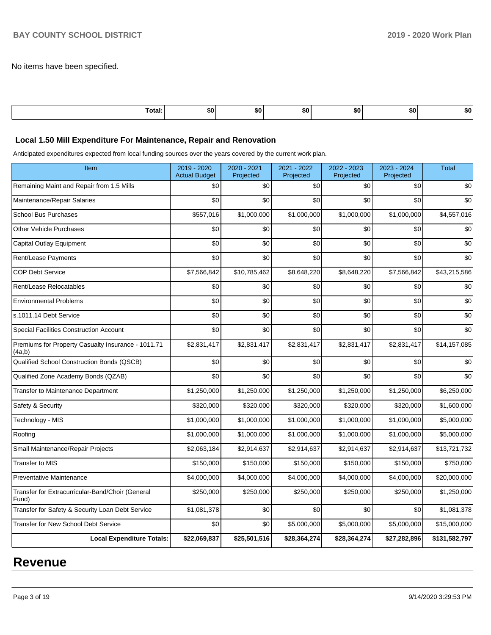No items have been specified.

| Total: | \$0 | .,<br>ъu | -DU | æи | 'SO | . זה |
|--------|-----|----------|-----|----|-----|------|
|        |     |          |     |    |     |      |

#### **Local 1.50 Mill Expenditure For Maintenance, Repair and Renovation**

Anticipated expenditures expected from local funding sources over the years covered by the current work plan.

| Item                                                         | 2019 - 2020<br><b>Actual Budget</b> | 2020 - 2021<br>Projected | 2021 - 2022<br>Projected | 2022 - 2023<br>Projected | 2023 - 2024<br>Projected | <b>Total</b>  |
|--------------------------------------------------------------|-------------------------------------|--------------------------|--------------------------|--------------------------|--------------------------|---------------|
| Remaining Maint and Repair from 1.5 Mills                    | \$0                                 | \$0                      | \$0                      | \$0                      | \$0                      | \$0           |
| Maintenance/Repair Salaries                                  | \$0                                 | \$0                      | \$0                      | \$0                      | \$0                      | \$0           |
| <b>School Bus Purchases</b>                                  | \$557,016                           | \$1,000,000              | \$1,000,000              | \$1,000,000              | \$1,000,000              | \$4,557,016   |
| <b>Other Vehicle Purchases</b>                               | \$0                                 | \$0                      | \$0                      | \$0                      | \$0                      | \$0           |
| Capital Outlay Equipment                                     | \$0                                 | \$0                      | \$0                      | \$0                      | \$0                      | \$0           |
| Rent/Lease Payments                                          | \$0                                 | \$0                      | \$0                      | \$0                      | \$0                      | \$0           |
| <b>COP Debt Service</b>                                      | \$7,566,842                         | \$10,785,462             | \$8,648,220              | \$8,648,220              | \$7,566,842              | \$43,215,586  |
| Rent/Lease Relocatables                                      | \$0                                 | \$0                      | \$0                      | \$0                      | \$0                      | \$0           |
| <b>Environmental Problems</b>                                | \$0                                 | \$0                      | \$0                      | \$0                      | \$0                      | \$0           |
| s.1011.14 Debt Service                                       | \$0                                 | \$0                      | \$0                      | \$0                      | \$0                      | \$0           |
| <b>Special Facilities Construction Account</b>               | \$0                                 | \$0                      | \$0                      | \$0                      | \$0                      | \$0           |
| Premiums for Property Casualty Insurance - 1011.71<br>(4a,b) | \$2,831,417                         | \$2,831,417              | \$2,831,417              | \$2,831,417              | \$2,831,417              | \$14,157,085  |
| Qualified School Construction Bonds (QSCB)                   | \$0                                 | \$0                      | \$0                      | \$0                      | \$0                      | \$0           |
| Qualified Zone Academy Bonds (QZAB)                          | \$0                                 | \$0                      | \$0                      | \$0                      | \$0                      | \$0           |
| Transfer to Maintenance Department                           | \$1,250,000                         | \$1,250,000              | \$1,250,000              | \$1,250,000              | \$1,250,000              | \$6,250,000   |
| Safety & Security                                            | \$320,000                           | \$320,000                | \$320,000                | \$320,000                | \$320,000                | \$1,600,000   |
| Technology - MIS                                             | \$1,000,000                         | \$1,000,000              | \$1,000,000              | \$1,000,000              | \$1,000,000              | \$5,000,000   |
| Roofing                                                      | \$1.000.000                         | \$1.000.000              | \$1,000,000              | \$1,000,000              | \$1,000,000              | \$5.000.000   |
| Small Maintenance/Repair Projects                            | \$2,063,184                         | \$2,914,637              | \$2,914,637              | \$2,914,637              | \$2,914,637              | \$13,721,732  |
| <b>Transfer to MIS</b>                                       | \$150,000                           | \$150,000                | \$150,000                | \$150,000                | \$150,000                | \$750,000     |
| <b>Preventative Maintenance</b>                              | \$4,000,000                         | \$4,000,000              | \$4,000,000              | \$4,000,000              | \$4,000,000              | \$20,000,000  |
| Transfer for Extracurricular-Band/Choir (General<br>Fund)    | \$250,000                           | \$250,000                | \$250,000                | \$250,000                | \$250,000                | \$1,250,000   |
| Transfer for Safety & Security Loan Debt Service             | \$1,081,378                         | \$0                      | \$0                      | \$0                      | \$0                      | \$1,081,378   |
| Transfer for New School Debt Service                         | \$0                                 | \$0                      | \$5,000,000              | \$5,000,000              | \$5,000,000              | \$15,000,000  |
| <b>Local Expenditure Totals:</b>                             | \$22,069,837                        | \$25,501,516             | \$28,364,274             | \$28,364,274             | \$27,282,896             | \$131,582,797 |

# **Revenue**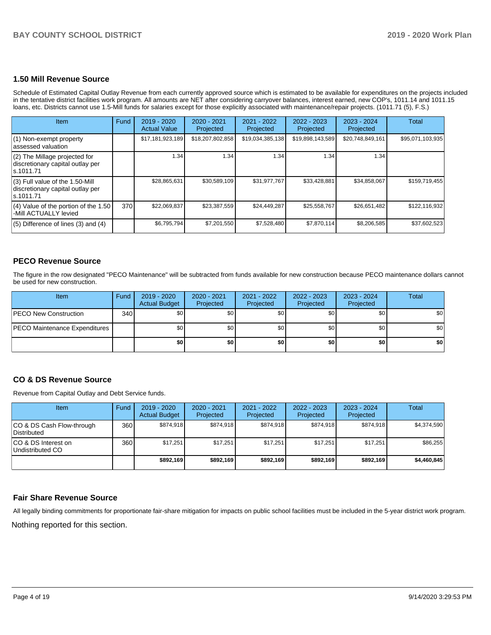## **1.50 Mill Revenue Source**

Schedule of Estimated Capital Outlay Revenue from each currently approved source which is estimated to be available for expenditures on the projects included in the tentative district facilities work program. All amounts are NET after considering carryover balances, interest earned, new COP's, 1011.14 and 1011.15 loans, etc. Districts cannot use 1.5-Mill funds for salaries except for those explicitly associated with maintenance/repair projects. (1011.71 (5), F.S.)

| Item                                                                                | Fund | $2019 - 2020$<br><b>Actual Value</b> | $2020 - 2021$<br>Projected | 2021 - 2022<br>Projected | $2022 - 2023$<br>Projected | $2023 - 2024$<br>Projected | <b>Total</b>     |
|-------------------------------------------------------------------------------------|------|--------------------------------------|----------------------------|--------------------------|----------------------------|----------------------------|------------------|
| (1) Non-exempt property<br>lassessed valuation                                      |      | \$17,181,923,189                     | \$18,207,802,858           | \$19,034,385,138         | \$19,898,143,589           | \$20,748,849,161           | \$95,071,103,935 |
| $(2)$ The Millage projected for<br>discretionary capital outlay per<br>ls.1011.71   |      | 1.34                                 | 1.34                       | 1.34                     | 1.34                       | 1.34                       |                  |
| $(3)$ Full value of the 1.50-Mill<br>discretionary capital outlay per<br>ls.1011.71 |      | \$28,865,631                         | \$30,589,109               | \$31,977,767             | \$33,428,881               | \$34,858,067               | \$159,719,455    |
| (4) Value of the portion of the 1.50<br>-Mill ACTUALLY levied                       | 370  | \$22,069,837                         | \$23,387,559               | \$24,449,287             | \$25,558,767               | \$26,651,482               | \$122,116,932    |
| $(5)$ Difference of lines $(3)$ and $(4)$                                           |      | \$6,795,794                          | \$7,201,550                | \$7,528,480              | \$7,870,114                | \$8,206,585                | \$37,602,523     |

### **PECO Revenue Source**

The figure in the row designated "PECO Maintenance" will be subtracted from funds available for new construction because PECO maintenance dollars cannot be used for new construction.

| <b>Item</b>                          | Fund | 2019 - 2020<br><b>Actual Budget</b> | 2020 - 2021<br>Projected | 2021 - 2022<br>Projected | $2022 - 2023$<br>Projected | 2023 - 2024<br>Projected | Total |
|--------------------------------------|------|-------------------------------------|--------------------------|--------------------------|----------------------------|--------------------------|-------|
| <b>IPECO New Construction</b>        | 340  | \$0                                 | \$0                      | \$0                      | \$0                        | \$0                      | \$0   |
| <b>PECO Maintenance Expenditures</b> |      | \$0                                 | \$0                      | \$0                      | \$0                        | \$0 <sub>1</sub>         | \$0   |
|                                      |      | \$0                                 | \$0                      | \$0                      | \$0                        | \$0                      | \$0   |

# **CO & DS Revenue Source**

Revenue from Capital Outlay and Debt Service funds.

| Item                                      | Fund  | $2019 - 2020$<br><b>Actual Budget</b> | $2020 - 2021$<br>Projected | 2021 - 2022<br>Projected | $2022 - 2023$<br>Projected | $2023 - 2024$<br>Projected | Total       |
|-------------------------------------------|-------|---------------------------------------|----------------------------|--------------------------|----------------------------|----------------------------|-------------|
| ICO & DS Cash Flow-through<br>Distributed | 360 l | \$874.918                             | \$874.918                  | \$874.918                | \$874.918                  | \$874.918                  | \$4,374,590 |
| ICO & DS Interest on<br>Undistributed CO  | 360   | \$17.251                              | \$17,251                   | \$17.251                 | \$17,251                   | \$17,251                   | \$86,255    |
|                                           |       | \$892,169                             | \$892.169                  | \$892.169                | \$892.169                  | \$892.169                  | \$4,460,845 |

#### **Fair Share Revenue Source**

Nothing reported for this section. All legally binding commitments for proportionate fair-share mitigation for impacts on public school facilities must be included in the 5-year district work program.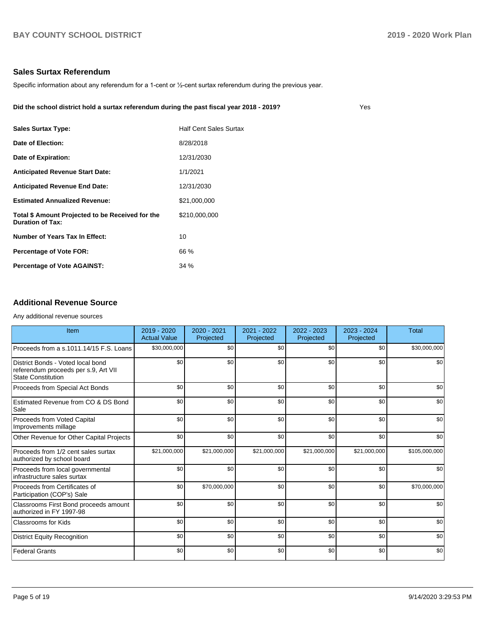# **Sales Surtax Referendum**

Specific information about any referendum for a 1-cent or ½-cent surtax referendum during the previous year.

#### **Did the school district hold a surtax referendum during the past fiscal year 2018 - 2019?**

| $\sim$<br>$\sim$ |
|------------------|
|                  |

| <b>Sales Surtax Type:</b>                                                   | <b>Half Cent Sales Surtax</b> |
|-----------------------------------------------------------------------------|-------------------------------|
| Date of Election:                                                           | 8/28/2018                     |
| Date of Expiration:                                                         | 12/31/2030                    |
| <b>Anticipated Revenue Start Date:</b>                                      | 1/1/2021                      |
| <b>Anticipated Revenue End Date:</b>                                        | 12/31/2030                    |
| <b>Estimated Annualized Revenue:</b>                                        | \$21,000,000                  |
| Total \$ Amount Projected to be Received for the<br><b>Duration of Tax:</b> | \$210,000,000                 |
| <b>Number of Years Tax In Effect:</b>                                       | 10                            |
| <b>Percentage of Vote FOR:</b>                                              | 66 %                          |
| <b>Percentage of Vote AGAINST:</b>                                          | 34 %                          |
|                                                                             |                               |

#### **Additional Revenue Source**

Any additional revenue sources

| Item                                                                                                   | $2019 - 2020$<br><b>Actual Value</b> | 2020 - 2021<br>Projected | 2021 - 2022<br>Projected | 2022 - 2023<br>Projected | 2023 - 2024<br>Projected | Total         |
|--------------------------------------------------------------------------------------------------------|--------------------------------------|--------------------------|--------------------------|--------------------------|--------------------------|---------------|
| Proceeds from a s.1011.14/15 F.S. Loans                                                                | \$30,000,000                         | \$0                      | \$0                      | \$0                      | \$0                      | \$30,000,000  |
| District Bonds - Voted local bond<br>referendum proceeds per s.9, Art VII<br><b>State Constitution</b> | \$0                                  | \$0                      | \$0                      | \$0                      | \$0                      | \$0           |
| Proceeds from Special Act Bonds                                                                        | \$0                                  | \$0                      | \$0                      | \$0                      | \$0                      | \$0           |
| Estimated Revenue from CO & DS Bond<br>Sale                                                            | \$0                                  | \$0                      | \$0                      | \$0                      | \$0                      | \$0           |
| Proceeds from Voted Capital<br>Improvements millage                                                    | \$0                                  | \$0                      | \$0                      | \$0                      | \$0                      | \$0           |
| Other Revenue for Other Capital Projects                                                               | \$0                                  | \$0                      | \$0                      | \$0                      | \$0                      | \$0           |
| Proceeds from 1/2 cent sales surtax<br>authorized by school board                                      | \$21,000,000                         | \$21,000,000             | \$21,000,000             | \$21,000,000             | \$21,000,000             | \$105,000,000 |
| Proceeds from local governmental<br>infrastructure sales surtax                                        | \$0                                  | \$0                      | \$0                      | \$0                      | \$0                      | \$0           |
| Proceeds from Certificates of<br>Participation (COP's) Sale                                            | \$0                                  | \$70,000,000             | \$0                      | \$0                      | \$0                      | \$70,000,000  |
| Classrooms First Bond proceeds amount<br>authorized in FY 1997-98                                      | \$0                                  | \$0                      | \$0                      | \$0                      | \$0                      | \$0           |
| <b>Classrooms for Kids</b>                                                                             | \$0                                  | \$0                      | \$0                      | \$0                      | \$0                      | \$0           |
| <b>District Equity Recognition</b>                                                                     | \$0                                  | \$0                      | \$0                      | \$0                      | \$0                      | \$0           |
| <b>Federal Grants</b>                                                                                  | \$0                                  | \$0                      | \$0                      | \$0                      | \$0                      | \$0           |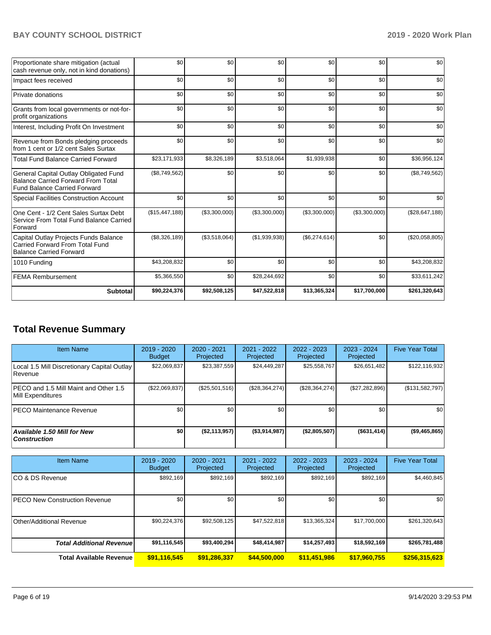| Proportionate share mitigation (actual<br>cash revenue only, not in kind donations)                                       | \$0            | \$0           | \$0           | \$0           | \$0           | \$0            |
|---------------------------------------------------------------------------------------------------------------------------|----------------|---------------|---------------|---------------|---------------|----------------|
| Impact fees received                                                                                                      | \$0            | \$0           | \$0           | \$0           | \$0           | \$0            |
| Private donations                                                                                                         | \$0            | \$0           | \$0           | \$0           | \$0           | \$0            |
| Grants from local governments or not-for-<br>profit organizations                                                         | \$0            | \$0           | \$0           | \$0           | \$0           | \$0            |
| Interest, Including Profit On Investment                                                                                  | \$0            | \$0           | \$0           | \$0           | \$0           | \$0            |
| Revenue from Bonds pledging proceeds<br>from 1 cent or 1/2 cent Sales Surtax                                              | \$0            | \$0           | \$0           | \$0           | \$0           | \$0            |
| <b>Total Fund Balance Carried Forward</b>                                                                                 | \$23,171,933   | \$8,326,189   | \$3,518,064   | \$1,939,938   | \$0           | \$36,956,124   |
| General Capital Outlay Obligated Fund<br><b>Balance Carried Forward From Total</b><br><b>Fund Balance Carried Forward</b> | (\$8,749,562)  | \$0           | \$0           | \$0           | \$0           | (\$8,749,562)  |
| Special Facilities Construction Account                                                                                   | \$0            | \$0           | \$0           | \$0           | \$0           | \$0            |
| One Cent - 1/2 Cent Sales Surtax Debt<br>Service From Total Fund Balance Carried<br>Forward                               | (\$15,447,188) | (\$3,300,000) | (\$3,300,000) | (\$3,300,000) | (\$3,300,000) | (\$28,647,188) |
| Capital Outlay Projects Funds Balance<br>Carried Forward From Total Fund<br><b>Balance Carried Forward</b>                | (\$8,326,189)  | (\$3,518,064) | (\$1,939,938) | (\$6,274,614) | \$0           | (\$20,058,805) |
| 1010 Funding                                                                                                              | \$43,208,832   | \$0           | \$0           | \$0           | \$0           | \$43,208,832   |
| <b>FEMA Rembursement</b>                                                                                                  | \$5,366,550    | \$0           | \$28,244,692  | \$0           | \$0           | \$33,611,242   |
| <b>Subtotal</b>                                                                                                           | \$90,224,376   | \$92,508,125  | \$47,522,818  | \$13,365,324  | \$17,700,000  | \$261,320,643  |

# **Total Revenue Summary**

| <b>Item Name</b>                                              | 2019 - 2020<br><b>Budget</b> | 2020 - 2021<br>Projected | 2021 - 2022<br>Projected | $2022 - 2023$<br>Projected | $2023 - 2024$<br>Projected | <b>Five Year Total</b> |
|---------------------------------------------------------------|------------------------------|--------------------------|--------------------------|----------------------------|----------------------------|------------------------|
| Local 1.5 Mill Discretionary Capital Outlay<br><b>Revenue</b> | \$22.069.837                 | \$23,387,559             | \$24.449.287             | \$25,558,767               | \$26,651,482               | \$122,116,932          |
| PECO and 1.5 Mill Maint and Other 1.5<br>Mill Expenditures    | (\$22,069,837)               | (\$25,501,516)           | (S28, 364, 274)          | (S28, 364, 274)            | (\$27,282,896)             | (\$131,582,797)        |
| <b>IPECO Maintenance Revenue</b>                              | \$0 <sub>1</sub>             | \$0                      | \$0                      | \$0                        | \$0                        | \$0                    |
| Available 1.50 Mill for New<br>  Construction                 | \$0                          | (\$2,113,957)            | (\$3,914,987)            | (\$2,805,507)              | ( \$631, 414)              | ( \$9,465,865)         |

| <b>Item Name</b>                     | 2019 - 2020<br><b>Budget</b> | $2020 - 2021$<br>Projected | $2021 - 2022$<br>Projected | $2022 - 2023$<br>Projected | $2023 - 2024$<br>Projected | <b>Five Year Total</b> |
|--------------------------------------|------------------------------|----------------------------|----------------------------|----------------------------|----------------------------|------------------------|
| ICO & DS Revenue                     | \$892,169                    | \$892,169                  | \$892,169                  | \$892,169                  | \$892,169                  | \$4,460,845            |
| <b>PECO New Construction Revenue</b> | \$0                          | \$0                        | \$0                        | \$0                        | \$0                        | \$0                    |
| Other/Additional Revenue             | \$90,224,376                 | \$92,508,125               | \$47,522,818               | \$13,365,324               | \$17,700,000               | \$261,320,643          |
| <b>Total Additional Revenue</b>      | \$91,116,545                 | \$93,400,294               | \$48,414,987               | \$14,257,493               | \$18,592,169               | \$265,781,488          |
| <b>Total Available Revenue</b>       | \$91,116,545                 | \$91,286,337               | \$44,500,000               | \$11,451,986               | \$17,960,755               | \$256,315,623          |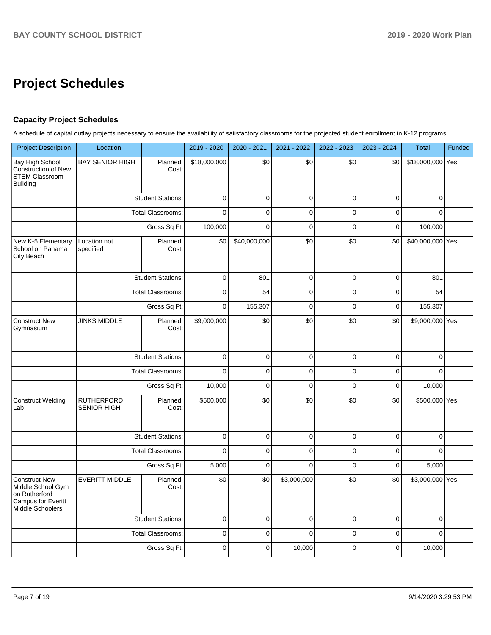# **Project Schedules**

# **Capacity Project Schedules**

A schedule of capital outlay projects necessary to ensure the availability of satisfactory classrooms for the projected student enrollment in K-12 programs.

| <b>Project Description</b>                                                                                         | Location                                |                          |              | 2020 - 2021  | 2021 - 2022         | 2022 - 2023     | 2023 - 2024 | <b>Total</b>     | Funded |
|--------------------------------------------------------------------------------------------------------------------|-----------------------------------------|--------------------------|--------------|--------------|---------------------|-----------------|-------------|------------------|--------|
| Bay High School<br><b>Construction of New</b><br><b>STEM Classroom</b><br><b>Building</b>                          | <b>BAY SENIOR HIGH</b>                  | Planned<br>Cost:         | \$18,000,000 | \$0          | \$0                 | \$0             | \$0         | \$18,000,000 Yes |        |
|                                                                                                                    |                                         | <b>Student Stations:</b> | $\pmb{0}$    | $\pmb{0}$    | $\pmb{0}$           | $\mathbf 0$     | $\mathbf 0$ | $\mathbf 0$      |        |
|                                                                                                                    |                                         | <b>Total Classrooms:</b> | 0            | $\mathbf 0$  | $\mathbf 0$         | $\mathbf 0$     | $\mathbf 0$ | $\Omega$         |        |
|                                                                                                                    |                                         | Gross Sq Ft:             | 100,000      | $\mathbf 0$  | $\mathbf 0$         | $\mathbf 0$     | $\mathbf 0$ | 100,000          |        |
| New K-5 Elementary<br>School on Panama<br>City Beach                                                               | Location not<br>specified               | Planned<br>Cost:         | \$0          | \$40,000,000 | \$0                 | \$0             | \$0         | \$40,000,000 Yes |        |
|                                                                                                                    |                                         | <b>Student Stations:</b> | $\pmb{0}$    | 801          | $\mathbf 0$         | $\mathbf 0$     | $\mathbf 0$ | 801              |        |
|                                                                                                                    |                                         | <b>Total Classrooms:</b> | $\mathbf 0$  | 54           | $\pmb{0}$           | $\Omega$        | $\Omega$    | 54               |        |
|                                                                                                                    |                                         | Gross Sq Ft:             | $\pmb{0}$    | 155,307      | $\pmb{0}$           | $\pmb{0}$       | $\pmb{0}$   | 155,307          |        |
| <b>Construct New</b><br>Gymnasium                                                                                  | <b>JINKS MIDDLE</b>                     | Planned<br>Cost:         | \$9,000,000  | \$0          | \$0                 | \$0             | \$0         | \$9,000,000 Yes  |        |
|                                                                                                                    |                                         | <b>Student Stations:</b> | $\mathbf 0$  | $\mathbf 0$  | $\mathbf 0$         | $\mathbf 0$     | $\mathbf 0$ | $\mathbf 0$      |        |
|                                                                                                                    |                                         | <b>Total Classrooms:</b> | 0            | 0            | $\pmb{0}$           | $\mathbf 0$     | $\mathbf 0$ | $\Omega$         |        |
|                                                                                                                    |                                         | Gross Sq Ft:             |              | $\Omega$     | $\Omega$            | $\Omega$        | $\mathbf 0$ | 10,000           |        |
| <b>Construct Welding</b><br>Lab                                                                                    | <b>RUTHERFORD</b><br><b>SENIOR HIGH</b> | Planned<br>Cost:         | \$500,000    | \$0          | \$0                 | \$0             | \$0         | \$500,000 Yes    |        |
|                                                                                                                    |                                         | <b>Student Stations:</b> | $\mathbf 0$  | $\Omega$     | $\pmb{0}$           | $\Omega$        | $\pmb{0}$   | $\Omega$         |        |
|                                                                                                                    |                                         | <b>Total Classrooms:</b> | $\mathbf 0$  | $\pmb{0}$    | $\mathsf{O}\xspace$ | $\mathbf 0$     | $\mathsf 0$ | $\mathbf 0$      |        |
|                                                                                                                    |                                         | Gross Sq Ft:             | 5,000        | $\mathbf 0$  | $\mathbf 0$         | $\mathbf 0$     | 0           | 5,000            |        |
| <b>Construct New</b><br>Middle School Gym<br>on Rutherford<br><b>Campus for Everitt</b><br><b>Middle Schoolers</b> | <b>EVERITT MIDDLE</b>                   | Planned<br>Cost:         | \$0          | \$0          | \$3,000,000         | $\overline{30}$ | \$0         | \$3,000,000 Yes  |        |
|                                                                                                                    |                                         | <b>Student Stations:</b> | $\pmb{0}$    | $\pmb{0}$    | $\mathsf 0$         | $\mathsf 0$     | $\mathsf 0$ | $\Omega$         |        |
|                                                                                                                    |                                         | <b>Total Classrooms:</b> | $\pmb{0}$    | $\mathbf 0$  | $\mathbf 0$         | $\mathbf 0$     | $\mathsf 0$ | $\mathbf 0$      |        |
|                                                                                                                    |                                         | Gross Sq Ft:             | 0            | 0            | 10,000              | $\mathbf 0$     | $\mathbf 0$ | 10,000           |        |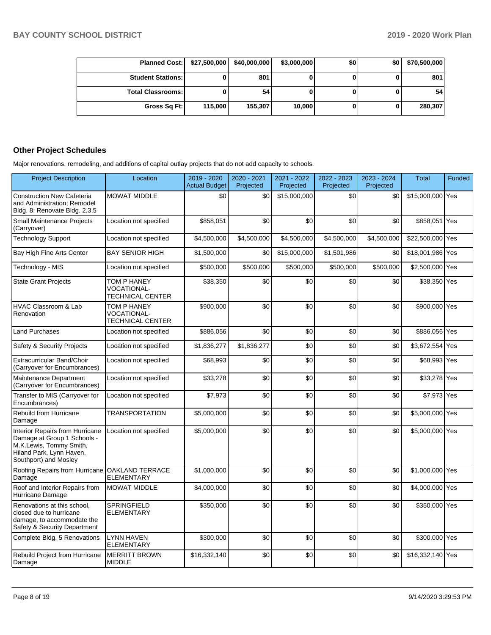| Planned Cost:   \$27,500,000 |         | \$40,000,000 | \$3,000,000 | \$0 | \$0 | \$70,500,000 |
|------------------------------|---------|--------------|-------------|-----|-----|--------------|
| <b>Student Stations:</b>     |         | 801          |             |     |     | 801          |
| <b>Total Classrooms:</b>     |         | 54           |             |     |     | 54           |
| Gross Sq Ft:                 | 115,000 | 155.307      | 10,000      |     |     | 280,307      |

# **Other Project Schedules**

Major renovations, remodeling, and additions of capital outlay projects that do not add capacity to schools.

| <b>Project Description</b>                                                                                                                     | Location                                                     | 2019 - 2020<br><b>Actual Budget</b> | 2020 - 2021<br>Projected | 2021 - 2022<br>Projected | 2022 - 2023<br>Projected | 2023 - 2024<br>Projected | <b>Total</b>     | Funded |
|------------------------------------------------------------------------------------------------------------------------------------------------|--------------------------------------------------------------|-------------------------------------|--------------------------|--------------------------|--------------------------|--------------------------|------------------|--------|
| <b>Construction New Cafeteria</b><br>and Administration: Remodel<br>Bldg. 8; Renovate Bldg. 2,3,5                                              | <b>MOWAT MIDDLE</b>                                          | \$0                                 | \$0                      | \$15,000,000             | \$0                      | \$0                      | \$15,000,000 Yes |        |
| Small Maintenance Projects<br>(Carryover)                                                                                                      | Location not specified                                       | \$858,051                           | \$0                      | \$0                      | \$0                      | \$0                      | \$858,051 Yes    |        |
| <b>Technology Support</b>                                                                                                                      | Location not specified                                       | \$4,500,000                         | \$4,500,000              | \$4,500,000              | \$4,500,000              | \$4,500,000              | \$22,500,000 Yes |        |
| Bay High Fine Arts Center                                                                                                                      | <b>BAY SENIOR HIGH</b>                                       | \$1,500,000                         | \$0                      | \$15,000,000             | \$1,501,986              | \$0                      | \$18,001,986 Yes |        |
| Technology - MIS                                                                                                                               | Location not specified                                       | \$500,000                           | \$500,000                | \$500,000                | \$500,000                | \$500,000                | \$2,500,000 Yes  |        |
| <b>State Grant Projects</b>                                                                                                                    | TOM P HANEY<br>VOCATIONAL-<br><b>TECHNICAL CENTER</b>        | \$38,350                            | \$0                      | \$0                      | \$0                      | \$0                      | \$38,350 Yes     |        |
| <b>HVAC Classroom &amp; Lab</b><br>Renovation                                                                                                  | TOM P HANEY<br><b>VOCATIONAL-</b><br><b>TECHNICAL CENTER</b> | \$900,000                           | \$0                      | \$0                      | \$0                      | \$0                      | \$900,000 Yes    |        |
| <b>Land Purchases</b>                                                                                                                          | Location not specified                                       | \$886,056                           | \$0                      | \$0                      | \$0                      | \$0                      | \$886,056 Yes    |        |
| Safety & Security Projects                                                                                                                     | Location not specified                                       | \$1,836,277                         | \$1,836,277              | \$0                      | \$0                      | \$0                      | \$3,672,554 Yes  |        |
| Extracurricular Band/Choir<br>(Carryover for Encumbrances)                                                                                     | Location not specified                                       | \$68,993                            | \$0                      | \$0                      | \$0                      | \$0                      | \$68,993 Yes     |        |
| Maintenance Department<br>(Carryover for Encumbrances)                                                                                         | Location not specified                                       | \$33,278                            | \$0                      | \$0                      | \$0                      | \$0                      | \$33,278 Yes     |        |
| Transfer to MIS (Carryover for<br>Encumbrances)                                                                                                | Location not specified                                       | \$7,973                             | \$0                      | \$0                      | \$0                      | \$0                      | \$7,973 Yes      |        |
| Rebuild from Hurricane<br>Damage                                                                                                               | <b>TRANSPORTATION</b>                                        | \$5,000,000                         | \$0                      | \$0                      | \$0                      | \$0                      | \$5,000,000 Yes  |        |
| Interior Repairs from Hurricane<br>Damage at Group 1 Schools -<br>M.K.Lewis, Tommy Smith,<br>Hiland Park, Lynn Haven,<br>Southport) and Mosley | Location not specified                                       | \$5,000,000                         | \$0                      | \$0                      | \$0                      | \$0                      | \$5,000,000 Yes  |        |
| Roofing Repairs from Hurricane<br>Damage                                                                                                       | <b>OAKLAND TERRACE</b><br><b>ELEMENTARY</b>                  | \$1,000,000                         | \$0                      | \$0                      | \$0                      | \$0                      | \$1,000,000 Yes  |        |
| Roof and Interior Repairs from<br>Hurricane Damage                                                                                             | <b>MOWAT MIDDLE</b>                                          | \$4,000,000                         | \$0                      | \$0                      | \$0                      | \$0                      | \$4,000,000 Yes  |        |
| Renovations at this school.<br>closed due to hurricane<br>damage, to accommodate the<br>Safety & Security Department                           | <b>SPRINGFIELD</b><br><b>ELEMENTARY</b>                      | \$350,000                           | \$0                      | \$0                      | \$0                      | \$0                      | \$350,000 Yes    |        |
| Complete Bldg. 5 Renovations                                                                                                                   | LYNN HAVEN<br><b>ELEMENTARY</b>                              | \$300,000                           | \$0                      | \$0                      | \$0                      | \$0                      | \$300,000 Yes    |        |
| <b>Rebuild Project from Hurricane</b><br>Damage                                                                                                | <b>MERRITT BROWN</b><br><b>MIDDLE</b>                        | \$16,332,140                        | \$0                      | \$0                      | \$0                      | \$0                      | \$16,332,140 Yes |        |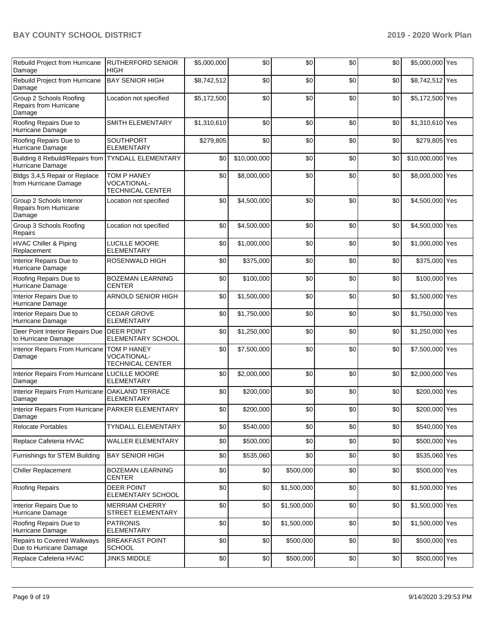# **BAY COUNTY SCHOOL DISTRICT 2019 - 2020 Work Plan**

| Rebuild Project from Hurricane<br>Damage                      | <b>RUTHERFORD SENIOR</b><br><b>HIGH</b>                      | \$5,000,000 | \$0                     | \$0         | \$0 | \$0 | \$5,000,000 Yes  |  |
|---------------------------------------------------------------|--------------------------------------------------------------|-------------|-------------------------|-------------|-----|-----|------------------|--|
| Rebuild Project from Hurricane<br>Damage                      | <b>BAY SENIOR HIGH</b>                                       | \$8,742,512 | \$0                     | \$0         | \$0 | \$0 | \$8,742,512 Yes  |  |
| Group 2 Schools Roofing<br>Repairs from Hurricane<br>Damage   | Location not specified                                       | \$5,172,500 | \$0                     | \$0         | \$0 | \$0 | \$5,172,500 Yes  |  |
| Roofing Repairs Due to<br>Hurricane Damage                    | SMITH ELEMENTARY                                             | \$1,310,610 | \$0                     | \$0         | \$0 | \$0 | \$1,310,610 Yes  |  |
| Roofing Repairs Due to<br>Hurricane Damage                    | <b>SOUTHPORT</b><br><b>ELEMENTARY</b>                        | \$279,805   | \$0                     | \$0         | \$0 | \$0 | \$279,805 Yes    |  |
| Building 8 Rebuild/Repairs from<br>Hurricane Damage           | <b>TYNDALL ELEMENTARY</b>                                    | \$0         | \$10,000,000            | \$0         | \$0 | \$0 | \$10,000,000 Yes |  |
| Bldgs 3,4,5 Repair or Replace<br>from Hurricane Damage        | TOM P HANEY<br>VOCATIONAL-<br><b>TECHNICAL CENTER</b>        | \$0         | \$8,000,000             | \$0         | \$0 | \$0 | \$8,000,000 Yes  |  |
| Group 2 Schools Interior<br>Repairs from Hurricane<br>Damage  | Location not specified                                       | \$0         | $\overline{$4,500,000}$ | \$0         | \$0 | \$0 | \$4,500,000 Yes  |  |
| Group 3 Schools Roofing<br>Repairs                            | Location not specified                                       | \$0         | \$4,500,000             | \$0         | \$0 | \$0 | \$4,500,000 Yes  |  |
| <b>HVAC Chiller &amp; Piping</b><br>Replacement               | LUCILLE MOORE<br><b>ELEMENTARY</b>                           | \$0         | \$1,000,000             | \$0         | \$0 | \$0 | \$1,000,000 Yes  |  |
| Interior Repairs Due to<br>Hurricane Damage                   | ROSENWALD HIGH                                               | \$0         | \$375,000               | \$0         | \$0 | \$0 | \$375,000 Yes    |  |
| Roofing Repairs Due to<br>Hurricane Damage                    | <b>BOZEMAN LEARNING</b><br>CENTER                            | \$0         | \$100,000               | \$0         | \$0 | \$0 | \$100,000 Yes    |  |
| Interior Repairs Due to<br>Hurricane Damage                   | ARNOLD SENIOR HIGH                                           | \$0         | \$1,500,000             | \$0         | \$0 | \$0 | \$1,500,000 Yes  |  |
| Interior Repairs Due to<br>Hurricane Damage                   | <b>CEDAR GROVE</b><br><b>ELEMENTARY</b>                      | \$0         | \$1,750,000             | \$0         | \$0 | \$0 | \$1,750,000 Yes  |  |
| Deer Point Interior Repairs Due<br>to Hurricane Damage        | <b>DEER POINT</b><br><b>ELEMENTARY SCHOOL</b>                | \$0         | \$1,250,000             | \$0         | \$0 | \$0 | \$1,250,000 Yes  |  |
| Interior Repairs From Hurricane<br>Damage                     | <b>TOM P HANEY</b><br>VOCATIONAL-<br><b>TECHNICAL CENTER</b> | \$0         | \$7,500,000             | \$0         | \$0 | \$0 | \$7,500,000 Yes  |  |
| Interior Repairs From Hurricane LUCILLE MOORE<br>Damage       | <b>ELEMENTARY</b>                                            | \$0         | \$2,000,000             | \$0         | \$0 | \$0 | \$2,000,000 Yes  |  |
| Interior Repairs From Hurricane OAKLAND TERRACE<br>Damage     | <b>ELEMENTARY</b>                                            | \$0         | \$200,000               | \$0         | \$0 | \$0 | \$200,000 Yes    |  |
| Interior Repairs From Hurricane PARKER ELEMENTARY<br>Damage   |                                                              | \$0         | \$200,000               | \$0         | \$0 | \$0 | \$200,000 Yes    |  |
| <b>Relocate Portables</b>                                     | <b>TYNDALL ELEMENTARY</b>                                    | \$0         | \$540,000               | \$0         | \$0 | \$0 | \$540,000 Yes    |  |
| Replace Cafeteria HVAC                                        | <b>WALLER ELEMENTARY</b>                                     | \$0         | \$500,000               | \$0         | \$0 | \$0 | \$500,000 Yes    |  |
| Furnishings for STEM Building                                 | <b>BAY SENIOR HIGH</b>                                       | \$0         | \$535,060               | \$0         | \$0 | \$0 | \$535,060 Yes    |  |
| <b>Chiller Replacement</b>                                    | <b>BOZEMAN LEARNING</b><br><b>CENTER</b>                     | \$0         | \$0                     | \$500,000   | \$0 | \$0 | \$500,000 Yes    |  |
| Roofing Repairs                                               | DEER POINT<br>ELEMENTARY SCHOOL                              | \$0         | \$0                     | \$1,500,000 | \$0 | \$0 | \$1,500,000 Yes  |  |
| Interior Repairs Due to<br>Hurricane Damage                   | <b>MERRIAM CHERRY</b><br>STREET ELEMENTARY                   | \$0         | \$0                     | \$1,500,000 | \$0 | \$0 | \$1,500,000 Yes  |  |
| Roofing Repairs Due to<br>Hurricane Damage                    | <b>PATRONIS</b><br><b>ELEMENTARY</b>                         | \$0         | \$0                     | \$1,500,000 | \$0 | \$0 | \$1,500,000 Yes  |  |
| <b>Repairs to Covered Walkways</b><br>Due to Hurricane Damage | <b>BREAKFAST POINT</b><br>SCHOOL                             | \$0         | \$0                     | \$500,000   | \$0 | \$0 | \$500,000 Yes    |  |
| Replace Cafeteria HVAC                                        | <b>JINKS MIDDLE</b>                                          | \$0         | \$0                     | \$500,000   | \$0 | \$0 | \$500,000 Yes    |  |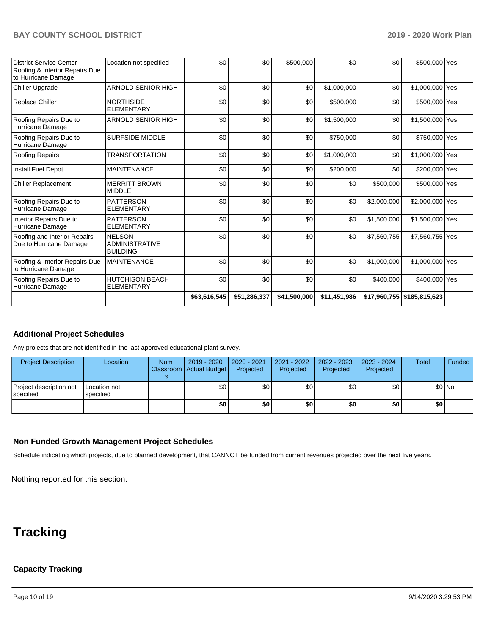|                                                                                           |                                                           | \$63,616,545 | \$51,286,337 | \$41,500,000 | \$11,451,986 |             | $$17,960,755$ $$185,815,623$ |  |
|-------------------------------------------------------------------------------------------|-----------------------------------------------------------|--------------|--------------|--------------|--------------|-------------|------------------------------|--|
| Roofing Repairs Due to<br>Hurricane Damage                                                | <b>HUTCHISON BEACH</b><br><b>ELEMENTARY</b>               | \$0          | \$0          | \$0          | \$0          | \$400,000   | \$400,000 Yes                |  |
| Roofing & Interior Repairs Due<br>to Hurricane Damage                                     | <b>MAINTENANCE</b>                                        | \$0          | \$0          | \$0          | \$0          | \$1,000,000 | \$1,000,000 Yes              |  |
| Roofing and Interior Repairs<br>Due to Hurricane Damage                                   | <b>NELSON</b><br><b>ADMINISTRATIVE</b><br><b>BUILDING</b> | \$0          | \$0          | \$0          | \$0          | \$7,560,755 | \$7,560,755 Yes              |  |
| Interior Repairs Due to<br>Hurricane Damage                                               | <b>PATTERSON</b><br><b>ELEMENTARY</b>                     | \$0          | \$0          | \$0          | \$0          | \$1,500,000 | \$1,500,000 Yes              |  |
| Roofing Repairs Due to<br>Hurricane Damage                                                | <b>PATTERSON</b><br><b>ELEMENTARY</b>                     | \$0          | \$0          | \$0          | \$0          | \$2,000,000 | \$2,000,000 Yes              |  |
| <b>Chiller Replacement</b>                                                                | <b>MERRITT BROWN</b><br><b>MIDDLE</b>                     | \$0          | \$0          | \$0          | \$0          | \$500,000   | \$500,000 Yes                |  |
| Install Fuel Depot                                                                        | <b>MAINTENANCE</b>                                        | \$0          | \$0          | \$0          | \$200,000    | \$0         | \$200,000 Yes                |  |
| <b>Roofing Repairs</b>                                                                    | <b>TRANSPORTATION</b>                                     | \$0          | \$0          | \$0          | \$1,000,000  | \$0         | \$1,000,000 Yes              |  |
| Roofing Repairs Due to<br>Hurricane Damage                                                | <b>SURFSIDE MIDDLE</b>                                    | \$0          | \$0          | \$0          | \$750,000    | \$0         | \$750,000 Yes                |  |
| Roofing Repairs Due to<br>Hurricane Damage                                                | ARNOLD SENIOR HIGH                                        | \$0          | \$0          | \$0          | \$1,500,000  | \$0         | \$1,500,000 Yes              |  |
| <b>Replace Chiller</b>                                                                    | <b>NORTHSIDE</b><br><b>ELEMENTARY</b>                     | \$0          | \$0          | \$0          | \$500,000    | \$0         | \$500,000 Yes                |  |
| Chiller Upgrade                                                                           | <b>ARNOLD SENIOR HIGH</b>                                 | \$0          | \$0          | \$0          | \$1,000,000  | \$0         | \$1,000,000 Yes              |  |
| <b>District Service Center -</b><br>Roofing & Interior Repairs Due<br>to Hurricane Damage | Location not specified                                    | \$0          | \$0          | \$500,000    | \$0          | \$0         | \$500,000 Yes                |  |

# **Additional Project Schedules**

Any projects that are not identified in the last approved educational plant survey.

| <b>Project Description</b>                   | Location                  | <b>Num</b> | 2019 - 2020<br>Classroom Actual Budget | $\mid$ 2020 - 2021<br>Projected | 2021 - 2022<br>Projected | 2022 - 2023<br>Projected | 2023 - 2024<br>Projected | <b>Total</b> | Funded  |
|----------------------------------------------|---------------------------|------------|----------------------------------------|---------------------------------|--------------------------|--------------------------|--------------------------|--------------|---------|
| Project description not<br><b>Ispecified</b> | Location not<br>specified |            | \$0                                    | \$0 <sub>1</sub>                | \$0                      | \$0 <sub>1</sub>         | \$0                      |              | $$0$ No |
|                                              |                           |            | \$0                                    | \$0                             | \$0                      | \$0 I                    | \$0                      | \$O          |         |

### **Non Funded Growth Management Project Schedules**

Schedule indicating which projects, due to planned development, that CANNOT be funded from current revenues projected over the next five years.

Nothing reported for this section.

# **Tracking**

# **Capacity Tracking**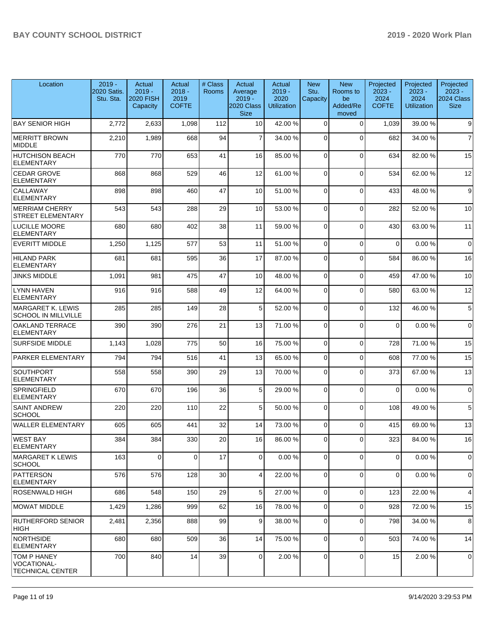| Location                                                            | $2019 -$<br>2020 Satis.<br>Stu. Sta. | Actual<br>$2019 -$<br><b>2020 FISH</b><br>Capacity | Actual<br>$2018 -$<br>2019<br><b>COFTE</b> | # Class<br><b>Rooms</b> | Actual<br>Average<br>$2019 -$<br>2020 Class<br><b>Size</b> | Actual<br>$2019 -$<br>2020<br><b>Utilization</b> | <b>New</b><br>Stu.<br>Capacity | <b>New</b><br>Rooms to<br>be<br>Added/Re<br>moved | Projected<br>$2023 -$<br>2024<br><b>COFTE</b> | Projected<br>$2023 -$<br>2024<br><b>Utilization</b> | Projected<br>$2023 -$<br>2024 Class<br><b>Size</b> |
|---------------------------------------------------------------------|--------------------------------------|----------------------------------------------------|--------------------------------------------|-------------------------|------------------------------------------------------------|--------------------------------------------------|--------------------------------|---------------------------------------------------|-----------------------------------------------|-----------------------------------------------------|----------------------------------------------------|
| <b>BAY SENIOR HIGH</b>                                              | 2,772                                | 2,633                                              | 1,098                                      | 112                     | 10 <sup>1</sup>                                            | 42.00%                                           | $\Omega$                       | $\Omega$                                          | 1,039                                         | 39.00 %                                             | 9                                                  |
| <b>MERRITT BROWN</b><br><b>MIDDLE</b>                               | 2,210                                | 1,989                                              | 668                                        | 94                      | $\overline{7}$                                             | 34.00 %                                          | $\Omega$                       | $\Omega$                                          | 682                                           | 34.00 %                                             | $\overline{7}$                                     |
| <b>HUTCHISON BEACH</b><br><b>ELEMENTARY</b>                         | 770                                  | 770                                                | 653                                        | 41                      | 16                                                         | 85.00 %                                          | $\Omega$                       | $\Omega$                                          | 634                                           | 82.00 %                                             | 15                                                 |
| <b>CEDAR GROVE</b><br><b>ELEMENTARY</b>                             | 868                                  | 868                                                | 529                                        | 46                      | 12                                                         | 61.00%                                           | $\Omega$                       | $\Omega$                                          | 534                                           | 62.00 %                                             | 12                                                 |
| CALLAWAY<br><b>ELEMENTARY</b>                                       | 898                                  | 898                                                | 460                                        | 47                      | 10                                                         | 51.00 %                                          | $\Omega$                       | $\mathbf 0$                                       | 433                                           | 48.00 %                                             | 9                                                  |
| <b>MERRIAM CHERRY</b><br><b>STREET ELEMENTARY</b>                   | 543                                  | 543                                                | 288                                        | 29                      | 10                                                         | 53.00 %                                          | $\Omega$                       | $\Omega$                                          | 282                                           | 52.00 %                                             | 10                                                 |
| <b>LUCILLE MOORE</b><br><b>ELEMENTARY</b>                           | 680                                  | 680                                                | 402                                        | 38                      | 11                                                         | 59.00 %                                          | $\Omega$                       | $\Omega$                                          | 430                                           | 63.00 %                                             | 11                                                 |
| <b>EVERITT MIDDLE</b>                                               | 1,250                                | 1,125                                              | 577                                        | 53                      | 11                                                         | 51.00 %                                          | $\Omega$                       | $\Omega$                                          | $\mathbf 0$                                   | 0.00%                                               | $\mathbf 0$                                        |
| <b>HILAND PARK</b><br><b>ELEMENTARY</b>                             | 681                                  | 681                                                | 595                                        | 36                      | 17                                                         | 87.00 %                                          | $\Omega$                       | $\Omega$                                          | 584                                           | 86.00 %                                             | 16                                                 |
| <b>JINKS MIDDLE</b>                                                 | 1,091                                | 981                                                | 475                                        | 47                      | 10                                                         | 48.00 %                                          | $\Omega$                       | $\Omega$                                          | 459                                           | 47.00 %                                             | 10                                                 |
| <b>LYNN HAVEN</b><br><b>ELEMENTARY</b>                              | 916                                  | 916                                                | 588                                        | 49                      | 12                                                         | 64.00%                                           | $\Omega$                       | $\Omega$                                          | 580                                           | 63.00 %                                             | 12                                                 |
| MARGARET K. LEWIS<br><b>SCHOOL IN MILLVILLE</b>                     | 285                                  | 285                                                | 149                                        | 28                      | 5 <sup>1</sup>                                             | 52.00 %                                          | $\Omega$                       | $\Omega$                                          | 132                                           | 46.00 %                                             | 5                                                  |
| <b>OAKLAND TERRACE</b><br><b>ELEMENTARY</b>                         | 390                                  | 390                                                | 276                                        | 21                      | 13                                                         | 71.00 %                                          | $\Omega$                       | $\mathbf 0$                                       | $\Omega$                                      | 0.00%                                               | $\mathbf 0$                                        |
| <b>SURFSIDE MIDDLE</b>                                              | 1,143                                | 1,028                                              | 775                                        | 50                      | 16                                                         | 75.00 %                                          | $\Omega$                       | $\mathbf 0$                                       | 728                                           | 71.00 %                                             | 15                                                 |
| PARKER ELEMENTARY                                                   | 794                                  | 794                                                | 516                                        | 41                      | 13                                                         | 65.00 %                                          | $\Omega$                       | $\Omega$                                          | 608                                           | 77.00 %                                             | 15                                                 |
| <b>SOUTHPORT</b><br>ELEMENTARY                                      | 558                                  | 558                                                | 390                                        | 29                      | 13                                                         | 70.00%                                           | $\Omega$                       | $\Omega$                                          | 373                                           | 67.00 %                                             | 13                                                 |
| <b>SPRINGFIELD</b><br><b>ELEMENTARY</b>                             | 670                                  | 670                                                | 196                                        | 36                      | 5 <sup>1</sup>                                             | 29.00 %                                          | $\Omega$                       | $\Omega$                                          | $\mathbf 0$                                   | 0.00%                                               | $\mathbf 0$                                        |
| <b>SAINT ANDREW</b><br><b>SCHOOL</b>                                | 220                                  | 220                                                | 110                                        | 22                      | 5 <sub>5</sub>                                             | 50.00 %                                          | $\Omega$                       | $\Omega$                                          | 108                                           | 49.00 %                                             | 5                                                  |
| WALLER ELEMENTARY                                                   | 605                                  | 605                                                | 441                                        | 32                      | 14                                                         | 73.00 %                                          | $\Omega$                       | $\Omega$                                          | 415                                           | 69.00 %                                             | 13                                                 |
| WEST BAY<br><b>ELEMENTARY</b>                                       | 384                                  | 384                                                | 330                                        | 20                      | 16                                                         | 86.00 %                                          | υı                             | U                                                 | 323                                           | 84.00%                                              | 16                                                 |
| MARGARET K LEWIS<br> SCHOOL                                         | 163                                  | $\Omega$                                           | $\Omega$                                   | 17                      | $\overline{0}$                                             | 0.00%                                            | $\Omega$                       | $\Omega$                                          | $\Omega$                                      | 0.00%                                               | $\mathbf 0$                                        |
| PATTERSON<br><b>ELEMENTARY</b>                                      | 576                                  | 576                                                | 128                                        | 30                      | $\overline{4}$                                             | 22.00 %                                          | 0                              | $\mathbf 0$                                       | 0                                             | 0.00%                                               | 0                                                  |
| <b>ROSENWALD HIGH</b>                                               | 686                                  | 548                                                | 150                                        | 29                      | 5 <sup>1</sup>                                             | 27.00 %                                          | $\Omega$                       | $\mathbf 0$                                       | 123                                           | 22.00 %                                             | $\overline{4}$                                     |
| MOWAT MIDDLE                                                        | 1,429                                | 1,286                                              | 999                                        | 62                      | 16                                                         | 78.00 %                                          | $\Omega$                       | $\Omega$                                          | 928                                           | 72.00 %                                             | 15                                                 |
| <b>RUTHERFORD SENIOR</b><br><b>HIGH</b>                             | 2,481                                | 2,356                                              | 888                                        | 99                      | 9                                                          | 38.00 %                                          | $\mathbf 0$                    | $\Omega$                                          | 798                                           | 34.00 %                                             | 8                                                  |
| NORTHSIDE<br><b>ELEMENTARY</b>                                      | 680                                  | 680                                                | 509                                        | 36                      | 14                                                         | 75.00 %                                          | $\Omega$                       | $\mathbf 0$                                       | 503                                           | 74.00 %                                             | 14                                                 |
| <b>TOM P HANEY</b><br><b>VOCATIONAL-</b><br><b>TECHNICAL CENTER</b> | 700                                  | 840                                                | 14                                         | 39                      | $\overline{0}$                                             | 2.00 %                                           | 0                              | $\mathbf 0$                                       | 15                                            | 2.00 %                                              | 0                                                  |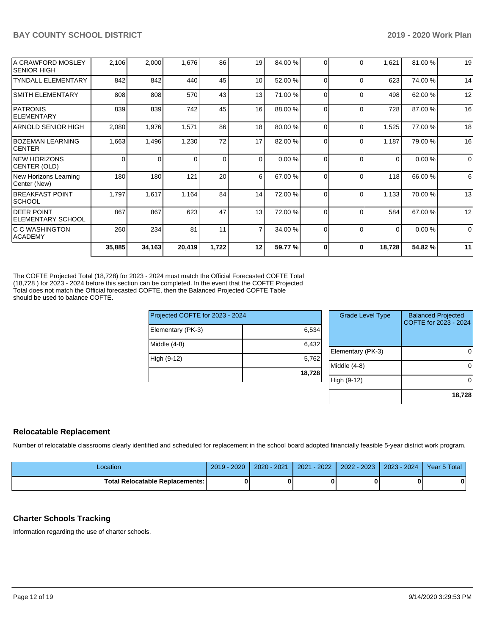|                                               | 35,885   | 34,163   | 20,419 | 1,722    | 12             | 59.77 % | $\Omega$ | $\bf{0}$ | 18,728 | 54.82%  | 11          |
|-----------------------------------------------|----------|----------|--------|----------|----------------|---------|----------|----------|--------|---------|-------------|
| IC C WASHINGTON<br><b>ACADEMY</b>             | 260      | 234      | 81     | 11       | $\overline{7}$ | 34.00 % | 0        | $\Omega$ | 0      | 0.00%   | $\mathbf 0$ |
| <b>DEER POINT</b><br><b>ELEMENTARY SCHOOL</b> | 867      | 867      | 623    | 47       | 13             | 72.00 % | 0        | $\Omega$ | 584    | 67.00 % | 12          |
| <b>BREAKFAST POINT</b><br><b>SCHOOL</b>       | 1,797    | 1,617    | 1,164  | 84       | 14             | 72.00 % | 0        | $\Omega$ | 1,133  | 70.00%  | 13          |
| New Horizons Learning<br>Center (New)         | 180      | 180      | 121    | 20       | 6              | 67.00 % | $\Omega$ |          | 118    | 66.00 % | 6           |
| <b>NEW HORIZONS</b><br>CENTER (OLD)           | $\Omega$ | $\Omega$ | 0      | $\Omega$ | $\Omega$       | 0.00 %  | 0        | $\Omega$ | 0      | 0.00%   | $\Omega$    |
| <b>BOZEMAN LEARNING</b><br><b>CENTER</b>      | 1,663    | 1,496    | 1,230  | 72       | 17             | 82.00 % | 0        | 0        | 1,187  | 79.00 % | 16          |
| <b>ARNOLD SENIOR HIGH</b>                     | 2,080    | 1,976    | 1,571  | 86       | 18             | 80.00 % | $\Omega$ | $\Omega$ | 1,525  | 77.00 % | 18          |
| PATRONIS<br>ELEMENTARY                        | 839      | 839      | 742    | 45       | 16             | 88.00 % | 0        | 0        | 728    | 87.00 % | 16          |
| <b>SMITH ELEMENTARY</b>                       | 808      | 808      | 570    | 43       | 13             | 71.00 % | 0        | $\Omega$ | 498    | 62.00 % | 12          |
| <b>TYNDALL ELEMENTARY</b>                     | 842      | 842      | 440    | 45       | 10             | 52.00 % | $\Omega$ | $\Omega$ | 623    | 74.00 % | 14          |
| A CRAWFORD MOSLEY<br><b>SENIOR HIGH</b>       | 2,106    | 2,000    | 1,676  | 86       | 19             | 84.00 % | 0        |          | 1,621  | 81.00%  | 19          |
|                                               |          |          |        |          |                |         |          |          |        |         |             |

The COFTE Projected Total (18,728) for 2023 - 2024 must match the Official Forecasted COFTE Total (18,728 ) for 2023 - 2024 before this section can be completed. In the event that the COFTE Projected Total does not match the Official forecasted COFTE, then the Balanced Projected COFTE Table should be used to balance COFTE.

| Projected COFTE for 2023 - 2024 |        |
|---------------------------------|--------|
| Elementary (PK-3)               | 6,534  |
| Middle $(4-8)$                  | 6,432  |
| High (9-12)                     | 5,762  |
|                                 | 18,728 |

| <b>Grade Level Type</b> | <b>Balanced Projected</b><br>COFTE for 2023 - 2024 |
|-------------------------|----------------------------------------------------|
| Elementary (PK-3)       |                                                    |
| Middle $(4-8)$          |                                                    |
| High (9-12)             |                                                    |
|                         | 18,728                                             |

# **Relocatable Replacement**

Number of relocatable classrooms clearly identified and scheduled for replacement in the school board adopted financially feasible 5-year district work program.

| Location                          | 2019 - 2020 | $2020 - 2021$ | $2021 - 2022$ | 2022 - 2023 | $2023 - 2024$ | Year 5 Total |
|-----------------------------------|-------------|---------------|---------------|-------------|---------------|--------------|
| Total Relocatable Replacements: I |             |               |               |             |               | 0            |

# **Charter Schools Tracking**

Information regarding the use of charter schools.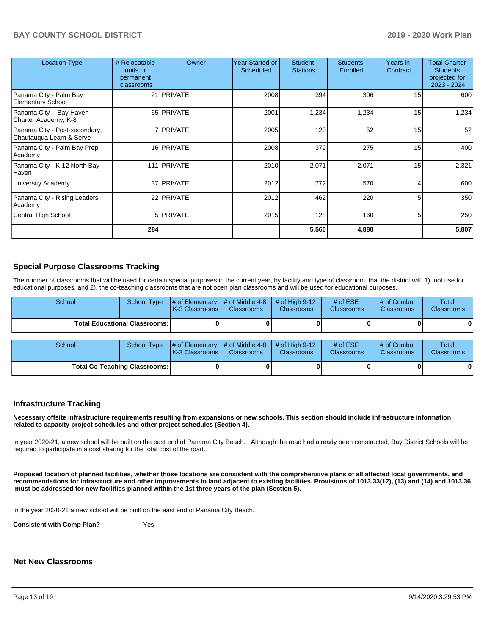## **BAY COUNTY SCHOOL DISTRICT 2019 - 2020 Work Plan**

| Location-Type                                             | # Relocatable<br>units or<br>permanent<br>classrooms | Owner             | Year Started or<br><b>Scheduled</b> | <b>Student</b><br><b>Stations</b> | <b>Students</b><br>Enrolled | Years in<br>Contract | <b>Total Charter</b><br><b>Students</b><br>projected for<br>2023 - 2024 |
|-----------------------------------------------------------|------------------------------------------------------|-------------------|-------------------------------------|-----------------------------------|-----------------------------|----------------------|-------------------------------------------------------------------------|
| Panama City - Palm Bay<br><b>Elementary School</b>        |                                                      | 21 <b>PRIVATE</b> | 2008                                | 394                               | 306                         | 15                   | 600                                                                     |
| Panama City - Bay Haven<br>Charter Academy, K-8           |                                                      | 65 PRIVATE        | 2001                                | 1,234                             | 1,234                       | 15                   | 1,234                                                                   |
| Panama City - Post-secondary,<br>Chautauqua Learn & Serve |                                                      | 7 PRIVATE         | 2005                                | 120                               | 52                          | 15                   | 52                                                                      |
| Panama City - Palm Bay Prep<br>Academy                    |                                                      | 16 PRIVATE        | 2008                                | 379                               | 275                         | 15                   | 400                                                                     |
| Panama City - K-12 North Bay<br>Haven                     |                                                      | 111 PRIVATE       | 2010                                | 2,071                             | 2,071                       | 15                   | 2,321                                                                   |
| University Academy                                        |                                                      | 37 PRIVATE        | 2012                                | 772                               | 570                         | 4                    | 600                                                                     |
| Panama City - Rising Leaders<br>Academy                   |                                                      | 22 PRIVATE        | 2012                                | 462                               | 220                         | 5                    | 350                                                                     |
| Central High School                                       |                                                      | 5 <b>PRIVATE</b>  | 2015                                | 128                               | 160                         | 5                    | 250                                                                     |
|                                                           | 284                                                  |                   |                                     | 5,560                             | 4,888                       |                      | 5,807                                                                   |

#### **Special Purpose Classrooms Tracking**

The number of classrooms that will be used for certain special purposes in the current year, by facility and type of classroom, that the district will, 1), not use for educational purposes, and 2), the co-teaching classrooms that are not open plan classrooms and will be used for educational purposes.

| School                                 | School Type | $\parallel$ # of Elementary $\parallel$ # of Middle 4-8<br><b>K-3 Classrooms L</b> | <b>Classrooms</b> | $\#$ of High 9-12<br><b>Classrooms</b> | # of $ESE$<br><b>Classrooms</b> | # of Combo<br><b>Classrooms</b> | Total<br>Classrooms |
|----------------------------------------|-------------|------------------------------------------------------------------------------------|-------------------|----------------------------------------|---------------------------------|---------------------------------|---------------------|
| <b>Total Educational Classrooms: I</b> |             |                                                                                    |                   |                                        |                                 |                                 | 0                   |
|                                        |             |                                                                                    |                   |                                        |                                 |                                 |                     |
| School                                 |             | School Type # of Elementary # of Middle 4-8 # of High 9-12                         |                   |                                        | # of $ESE$                      | # of Combo                      | Total               |

| וטטווטט                              |  | $\frac{1}{2}$ of the structure of $\frac{1}{2}$ is the structure of the structure of $\frac{1}{2}$ in the structure of $\frac{1}{2}$ is the structure of $\frac{1}{2}$ in the structure of $\frac{1}{2}$ is the structure of $\frac{1}{2}$ is the structu<br><b>K-3 Classrooms I</b> | <b>Classrooms</b> | <b>Classrooms</b> | <b>Classrooms</b> | <b>HU CUTTING</b><br><b>Classrooms</b> | 1 Utan<br><b>Classrooms</b> |
|--------------------------------------|--|--------------------------------------------------------------------------------------------------------------------------------------------------------------------------------------------------------------------------------------------------------------------------------------|-------------------|-------------------|-------------------|----------------------------------------|-----------------------------|
| <b>Total Co-Teaching Classrooms:</b> |  |                                                                                                                                                                                                                                                                                      |                   |                   |                   |                                        | O I                         |

#### **Infrastructure Tracking**

**Necessary offsite infrastructure requirements resulting from expansions or new schools. This section should include infrastructure information related to capacity project schedules and other project schedules (Section 4).** 

In year 2020-21, a new school will be built on the east end of Panama City Beach. Although the road had already been constructed, Bay District Schools will be required to participate in a cost sharing for the total cost of the road.

**Proposed location of planned facilities, whether those locations are consistent with the comprehensive plans of all affected local governments, and recommendations for infrastructure and other improvements to land adjacent to existing facilities. Provisions of 1013.33(12), (13) and (14) and 1013.36** must be addressed for new facilities planned within the 1st three years of the plan (Section 5).

In the year 2020-21 a new school will be built on the east end of Panama City Beach.

**Consistent with Comp Plan?** Yes

# **Net New Classrooms**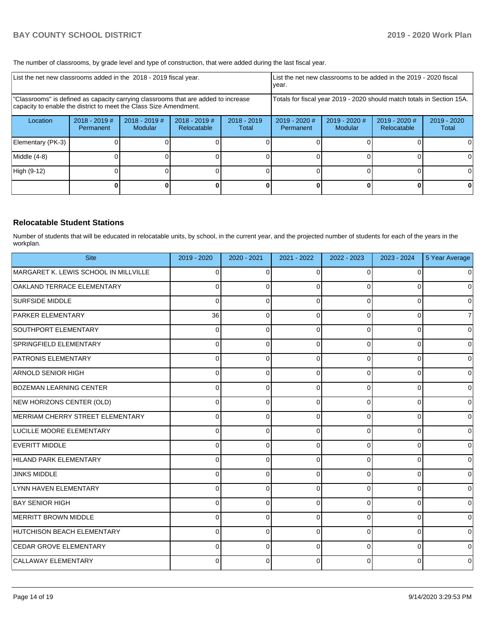The number of classrooms, by grade level and type of construction, that were added during the last fiscal year.

| List the net new classrooms added in the 2018 - 2019 fiscal year.                                                                                       |                            |                                   |                                                                        |                        | List the net new classrooms to be added in the 2019 - 2020 fiscal<br>year. |                            |                              |                      |
|---------------------------------------------------------------------------------------------------------------------------------------------------------|----------------------------|-----------------------------------|------------------------------------------------------------------------|------------------------|----------------------------------------------------------------------------|----------------------------|------------------------------|----------------------|
| "Classrooms" is defined as capacity carrying classrooms that are added to increase<br>capacity to enable the district to meet the Class Size Amendment. |                            |                                   | Totals for fiscal year 2019 - 2020 should match totals in Section 15A. |                        |                                                                            |                            |                              |                      |
| Location                                                                                                                                                | 2018 - 2019 #<br>Permanent | $2018 - 2019$ #<br><b>Modular</b> | $2018 - 2019$ #<br>Relocatable                                         | $2018 - 2019$<br>Total | 2019 - 2020 #<br>Permanent                                                 | $2019 - 2020$ #<br>Modular | 2019 - 2020 #<br>Relocatable | 2019 - 2020<br>Total |
| Elementary (PK-3)                                                                                                                                       |                            |                                   |                                                                        |                        |                                                                            |                            |                              | 0                    |
| Middle (4-8)                                                                                                                                            |                            |                                   |                                                                        |                        |                                                                            |                            |                              | 0                    |
| High (9-12)                                                                                                                                             |                            |                                   |                                                                        |                        |                                                                            |                            |                              | $\Omega$             |
|                                                                                                                                                         |                            |                                   |                                                                        |                        |                                                                            |                            |                              | 0                    |

### **Relocatable Student Stations**

Number of students that will be educated in relocatable units, by school, in the current year, and the projected number of students for each of the years in the workplan.

| <b>Site</b>                           | 2019 - 2020  | 2020 - 2021 | 2021 - 2022 | 2022 - 2023  | 2023 - 2024    | 5 Year Average      |
|---------------------------------------|--------------|-------------|-------------|--------------|----------------|---------------------|
| MARGARET K. LEWIS SCHOOL IN MILLVILLE | $\Omega$     | $\Omega$    |             | $\Omega$     | $\Omega$       | $\overline{0}$      |
| OAKLAND TERRACE ELEMENTARY            | <sup>0</sup> | $\Omega$    |             | <sup>0</sup> | 0              | $\overline{0}$      |
| <b>SURFSIDE MIDDLE</b>                | 0            | 0           |             | $\Omega$     | $\Omega$       | $\overline{0}$      |
| <b>PARKER ELEMENTARY</b>              | 36           | $\Omega$    | $\Omega$    | $\Omega$     | $\Omega$       | $\overline{7}$      |
| SOUTHPORT ELEMENTARY                  | 0            | 0           | ∩           | 0            | 0              | $\overline{0}$      |
| SPRINGFIELD ELEMENTARY                | 0            | $\Omega$    |             | $\Omega$     | $\Omega$       | $\overline{0}$      |
| <b>PATRONIS ELEMENTARY</b>            | 0            | 0           |             | $\Omega$     | $\Omega$       | $\overline{0}$      |
| ARNOLD SENIOR HIGH                    | $\Omega$     | $\Omega$    | ∩           | $\Omega$     | $\Omega$       | $\overline{0}$      |
| <b>BOZEMAN LEARNING CENTER</b>        | 0            | 0           | 0           | $\Omega$     | 0              | $\overline{0}$      |
| NEW HORIZONS CENTER (OLD)             | 0            | $\Omega$    |             | $\Omega$     | $\Omega$       | $\overline{0}$      |
| MERRIAM CHERRY STREET ELEMENTARY      | 0            | $\Omega$    | $\Omega$    | $\Omega$     | $\Omega$       | $\overline{0}$      |
| LUCILLE MOORE ELEMENTARY              | 0            | 0           | ∩           | $\Omega$     | 0              | $\overline{0}$      |
| <b>EVERITT MIDDLE</b>                 | 0            | $\Omega$    |             | $\Omega$     | $\Omega$       | $\mathsf{O}\xspace$ |
| HILAND PARK ELEMENTARY                | 0            | 0           | $\Omega$    | $\Omega$     | 0              | $\overline{0}$      |
| <b>JINKS MIDDLE</b>                   | 0            | $\Omega$    | $\Omega$    | $\Omega$     | $\Omega$       | $\overline{0}$      |
| LYNN HAVEN ELEMENTARY                 | 0            | $\Omega$    | ∩           | $\Omega$     | $\Omega$       | $\overline{0}$      |
| <b>BAY SENIOR HIGH</b>                | <sup>0</sup> | $\Omega$    |             | $\Omega$     | $\Omega$       | $\overline{0}$      |
| MERRITT BROWN MIDDLE                  | 0            | $\Omega$    | ∩           | $\Omega$     | $\overline{0}$ | $\overline{0}$      |
| HUTCHISON BEACH ELEMENTARY            | $\Omega$     | $\Omega$    | 0           | $\Omega$     | $\Omega$       | $\overline{0}$      |
| <b>CEDAR GROVE ELEMENTARY</b>         | 0            | $\Omega$    |             | $\Omega$     | $\Omega$       | $\overline{0}$      |
| CALLAWAY ELEMENTARY                   | 0            | 0           |             | $\Omega$     | 0              | $\overline{0}$      |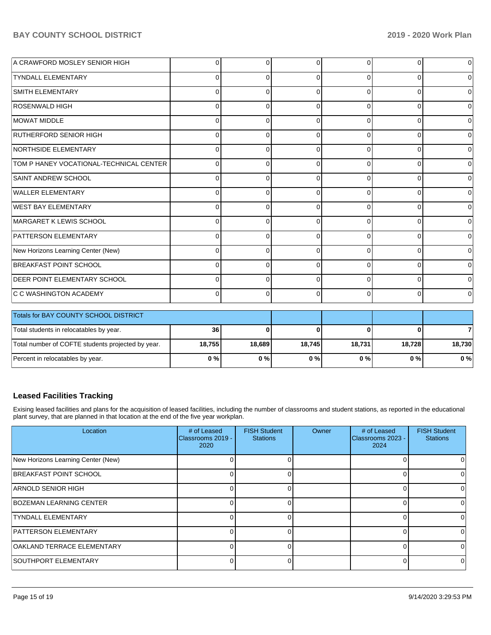| A CRAWFORD MOSLEY SENIOR HIGH           | 0        | 0        |          | $\Omega$     | 0        | $\overline{0}$ |
|-----------------------------------------|----------|----------|----------|--------------|----------|----------------|
| <b>TYNDALL ELEMENTARY</b>               | $\Omega$ | $\Omega$ | $\Omega$ | $\Omega$     | $\Omega$ | $\mathbf 0$    |
| <b>SMITH ELEMENTARY</b>                 | 0        | 0        |          | 0            | 0        | $\overline{0}$ |
| <b>ROSENWALD HIGH</b>                   | 0        | 0        | O        | 0            | 0        | $\overline{0}$ |
| MOWAT MIDDLE                            | 0        | $\Omega$ | $\Omega$ | $\Omega$     | $\Omega$ | $\overline{0}$ |
| RUTHERFORD SENIOR HIGH                  | 0        | $\Omega$ |          | $\Omega$     | 0        | $\overline{0}$ |
| NORTHSIDE ELEMENTARY                    | 0        | $\Omega$ |          | $\Omega$     | $\Omega$ | $\overline{0}$ |
| TOM P HANEY VOCATIONAL-TECHNICAL CENTER | $\Omega$ | $\Omega$ | $\Omega$ | $\Omega$     | $\Omega$ | $\overline{0}$ |
| <b>SAINT ANDREW SCHOOL</b>              | $\Omega$ | $\Omega$ | C        | $\Omega$     | 0        | $\overline{0}$ |
| WALLER ELEMENTARY                       | 0        | 0        | ∩        | $\Omega$     | 0        | $\overline{0}$ |
| <b>WEST BAY ELEMENTARY</b>              | 0        | $\Omega$ |          | $\Omega$     | $\Omega$ | $\overline{0}$ |
| MARGARET K LEWIS SCHOOL                 | 0        | $\Omega$ |          | <sup>n</sup> | $\Omega$ | $\mathbf 0$    |
| <b>PATTERSON ELEMENTARY</b>             | 0        | $\Omega$ |          | $\Omega$     | 0        | $\overline{0}$ |
| New Horizons Learning Center (New)      | $\Omega$ | 0        | ∩        | $\Omega$     | $\Omega$ | $\overline{0}$ |
| BREAKFAST POINT SCHOOL                  | 0        | $\Omega$ | ∩        | $\Omega$     | 0        | $\mathbf 0$    |
| <b>IDEER POINT ELEMENTARY SCHOOL</b>    | 0        | $\Omega$ | ∩        | $\Omega$     | 0        | $\overline{0}$ |
| <b>C C WASHINGTON ACADEMY</b>           | $\Omega$ | $\Omega$ | $\Omega$ | $\Omega$     | $\Omega$ | $\overline{0}$ |

| <b>Totals for BAY COUNTY SCHOOL DISTRICT</b>      |        |        |        |        |        |        |
|---------------------------------------------------|--------|--------|--------|--------|--------|--------|
| Total students in relocatables by year.           | 36     |        |        |        |        |        |
| Total number of COFTE students projected by year. | 18.755 | 18.689 | 18.745 | 18.731 | 18.728 | 18.730 |
| Percent in relocatables by year.                  | 0%     | 0%     | 0 % I  | 0%     | 0 % I  | $0\%$  |

# **Leased Facilities Tracking**

Exising leased facilities and plans for the acquisition of leased facilities, including the number of classrooms and student stations, as reported in the educational plant survey, that are planned in that location at the end of the five year workplan.

| Location                           | # of Leased<br>Classrooms 2019 -<br>2020 | <b>FISH Student</b><br><b>Stations</b> | Owner | # of Leased<br>Classrooms 2023 -<br>2024 | <b>FISH Student</b><br><b>Stations</b> |
|------------------------------------|------------------------------------------|----------------------------------------|-------|------------------------------------------|----------------------------------------|
| New Horizons Learning Center (New) |                                          |                                        |       |                                          |                                        |
| BREAKFAST POINT SCHOOL             |                                          |                                        |       |                                          |                                        |
| ARNOLD SENIOR HIGH                 |                                          |                                        |       |                                          |                                        |
| <b>BOZEMAN LEARNING CENTER</b>     |                                          |                                        |       |                                          |                                        |
| <b>TYNDALL ELEMENTARY</b>          |                                          |                                        |       |                                          | <sup>0</sup>                           |
| <b>PATTERSON ELEMENTARY</b>        |                                          |                                        |       |                                          | 0                                      |
| <b>OAKLAND TERRACE ELEMENTARY</b>  |                                          |                                        |       |                                          | 0                                      |
| SOUTHPORT ELEMENTARY               |                                          |                                        |       |                                          | $\Omega$                               |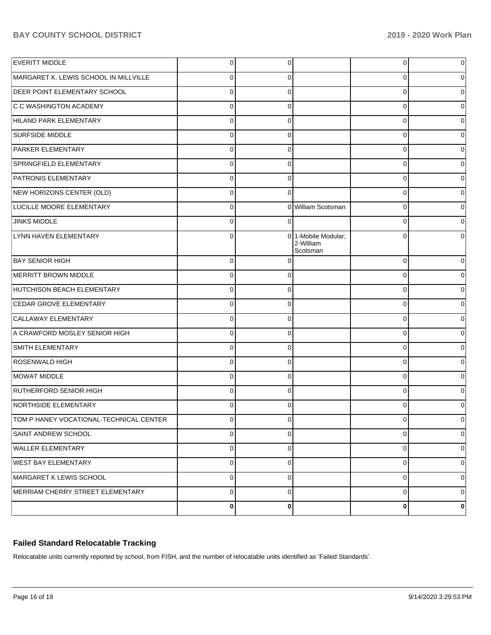## **BAY COUNTY SCHOOL DISTRICT 2019 - 2020 Work Plan**

| <b>EVERITT MIDDLE</b>                   | $\overline{0}$ | 0           |                                              | 0           | $\overline{0}$ |
|-----------------------------------------|----------------|-------------|----------------------------------------------|-------------|----------------|
| MARGARET K. LEWIS SCHOOL IN MILLVILLE   | $\overline{0}$ | $\Omega$    |                                              |             | 0              |
| <b>DEER POINT ELEMENTARY SCHOOL</b>     | $\overline{0}$ | $\Omega$    |                                              | C           | $\overline{0}$ |
| C C WASHINGTON ACADEMY                  | $\overline{0}$ | $\Omega$    |                                              | 0           | 0              |
| HILAND PARK ELEMENTARY                  | $\overline{0}$ | $\Omega$    |                                              | $\Omega$    | $\overline{0}$ |
| <b>SURFSIDE MIDDLE</b>                  | $\overline{0}$ | $\Omega$    |                                              | C           | 0              |
| <b>PARKER ELEMENTARY</b>                | $\Omega$       | $\Omega$    |                                              | C           | 0              |
| SPRINGFIELD ELEMENTARY                  | $\overline{0}$ | $\Omega$    |                                              | C           | 0              |
| <b>PATRONIS ELEMENTARY</b>              | $\overline{0}$ | $\Omega$    |                                              | C           | 0              |
| NEW HORIZONS CENTER (OLD)               | $\overline{0}$ | $\Omega$    |                                              | 0           | 0              |
| LUCILLE MOORE ELEMENTARY                | $\overline{0}$ |             | 0 William Scotsman                           | $\Omega$    | $\overline{0}$ |
| <b>JINKS MIDDLE</b>                     | $\overline{0}$ | $\Omega$    |                                              | C           | 0              |
| LYNN HAVEN ELEMENTARY                   | 0              |             | 0 1-Mobile Modular;<br>2-William<br>Scotsman | C           | 0              |
| <b>BAY SENIOR HIGH</b>                  | $\overline{0}$ | $\Omega$    |                                              | 0           | 0              |
| MERRITT BROWN MIDDLE                    | $\overline{0}$ | $\Omega$    |                                              | 0           | $\overline{0}$ |
| HUTCHISON BEACH ELEMENTARY              | $\overline{0}$ | 0           |                                              | 0           | $\overline{0}$ |
| CEDAR GROVE ELEMENTARY                  | $\overline{0}$ | $\Omega$    |                                              | 0           | $\overline{0}$ |
| CALLAWAY ELEMENTARY                     | $\overline{0}$ | $\mathbf 0$ |                                              | 0           | $\overline{0}$ |
| A CRAWFORD MOSLEY SENIOR HIGH           | $\overline{0}$ | $\Omega$    |                                              | 0           | $\overline{0}$ |
| SMITH ELEMENTARY                        | $\overline{0}$ | $\mathbf 0$ |                                              | 0           | $\overline{0}$ |
| ROSENWALD HIGH                          | $\overline{0}$ | 0           |                                              | 0           | $\overline{0}$ |
| MOWAT MIDDLE                            | $\overline{0}$ | 0           |                                              | 0           | $\overline{0}$ |
| RUTHERFORD SENIOR HIGH                  | $\overline{0}$ | $\Omega$    |                                              | 0           | 0              |
| NORTHSIDE ELEMENTARY                    | $\Omega$       | $\Omega$    |                                              | 0           | 0              |
| TOM P HANEY VOCATIONAL-TECHNICAL CENTER | υι             | U           |                                              | υ           | $\overline{0}$ |
| <b>SAINT ANDREW SCHOOL</b>              | $\overline{0}$ | $\mathbf 0$ |                                              | $\mathbf 0$ | 0              |
| <b>WALLER ELEMENTARY</b>                | $\overline{0}$ | $\mathbf 0$ |                                              | 0           | $\overline{0}$ |
| <b>WEST BAY ELEMENTARY</b>              | $\overline{0}$ | $\mathbf 0$ |                                              | 0           | $\overline{0}$ |
| MARGARET K LEWIS SCHOOL                 | $\overline{0}$ | $\mathbf 0$ |                                              | 0           | $\overline{0}$ |
| MERRIAM CHERRY STREET ELEMENTARY        | $\overline{0}$ | $\mathbf 0$ |                                              | 0           | 0              |
|                                         | $\mathbf{0}$   | $\bf{0}$    |                                              | 0           | 0              |

# **Failed Standard Relocatable Tracking**

Relocatable units currently reported by school, from FISH, and the number of relocatable units identified as 'Failed Standards'.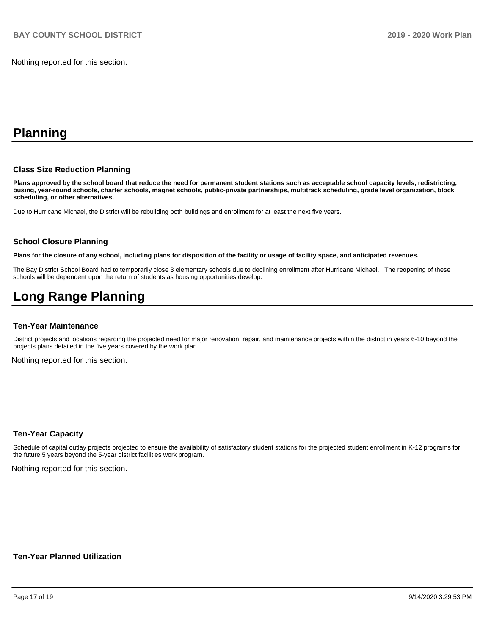Nothing reported for this section.

# **Planning**

#### **Class Size Reduction Planning**

**Plans approved by the school board that reduce the need for permanent student stations such as acceptable school capacity levels, redistricting, busing, year-round schools, charter schools, magnet schools, public-private partnerships, multitrack scheduling, grade level organization, block scheduling, or other alternatives.**

Due to Hurricane Michael, the District will be rebuilding both buildings and enrollment for at least the next five years.

#### **School Closure Planning**

**Plans for the closure of any school, including plans for disposition of the facility or usage of facility space, and anticipated revenues.** 

The Bay District School Board had to temporarily close 3 elementary schools due to declining enrollment after Hurricane Michael. The reopening of these schools will be dependent upon the return of students as housing opportunities develop.

# **Long Range Planning**

#### **Ten-Year Maintenance**

District projects and locations regarding the projected need for major renovation, repair, and maintenance projects within the district in years 6-10 beyond the projects plans detailed in the five years covered by the work plan.

Nothing reported for this section.

#### **Ten-Year Capacity**

Schedule of capital outlay projects projected to ensure the availability of satisfactory student stations for the projected student enrollment in K-12 programs for the future 5 years beyond the 5-year district facilities work program.

Nothing reported for this section.

#### **Ten-Year Planned Utilization**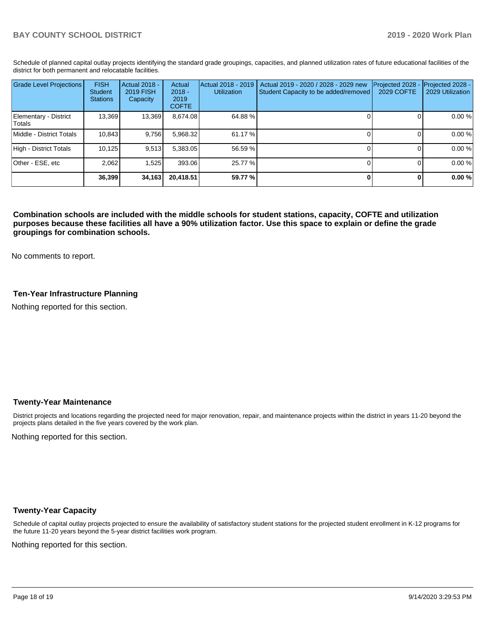Schedule of planned capital outlay projects identifying the standard grade groupings, capacities, and planned utilization rates of future educational facilities of the district for both permanent and relocatable facilities.

| <b>Grade Level Projections</b>  | <b>FISH</b><br>Student<br><b>Stations</b> | Actual 2018 -<br>2019 FISH<br>Capacity | Actual<br>$2018 -$<br>2019<br><b>COFTE</b> | Actual 2018 - 2019<br><b>Utilization</b> | Actual 2019 - 2020 / 2028 - 2029 new<br>Student Capacity to be added/removed | Projected 2028<br>2029 COFTE | Projected 2028 -<br>2029 Utilization |
|---------------------------------|-------------------------------------------|----------------------------------------|--------------------------------------------|------------------------------------------|------------------------------------------------------------------------------|------------------------------|--------------------------------------|
| Elementary - District<br>Totals | 13,369                                    | 13,369                                 | 8,674.08                                   | 64.88%                                   |                                                                              |                              | 0.00 %                               |
| Middle - District Totals        | 10.843                                    | 9.756                                  | 5,968.32                                   | 61.17 %                                  |                                                                              |                              | 0.00 %                               |
| High - District Totals          | 10,125                                    | 9,513                                  | 5,383.05                                   | 56.59 %                                  |                                                                              |                              | 0.00 %                               |
| Other - ESE, etc                | 2,062                                     | 1.525                                  | 393.06                                     | 25.77 %                                  |                                                                              |                              | 0.00 %                               |
|                                 | 36,399                                    | 34,163                                 | 20.418.51                                  | 59.77 %                                  |                                                                              |                              | 0.00%                                |

**Combination schools are included with the middle schools for student stations, capacity, COFTE and utilization purposes because these facilities all have a 90% utilization factor. Use this space to explain or define the grade groupings for combination schools.** 

No comments to report.

### **Ten-Year Infrastructure Planning**

Nothing reported for this section.

#### **Twenty-Year Maintenance**

District projects and locations regarding the projected need for major renovation, repair, and maintenance projects within the district in years 11-20 beyond the projects plans detailed in the five years covered by the work plan.

Nothing reported for this section.

#### **Twenty-Year Capacity**

Schedule of capital outlay projects projected to ensure the availability of satisfactory student stations for the projected student enrollment in K-12 programs for the future 11-20 years beyond the 5-year district facilities work program.

Nothing reported for this section.